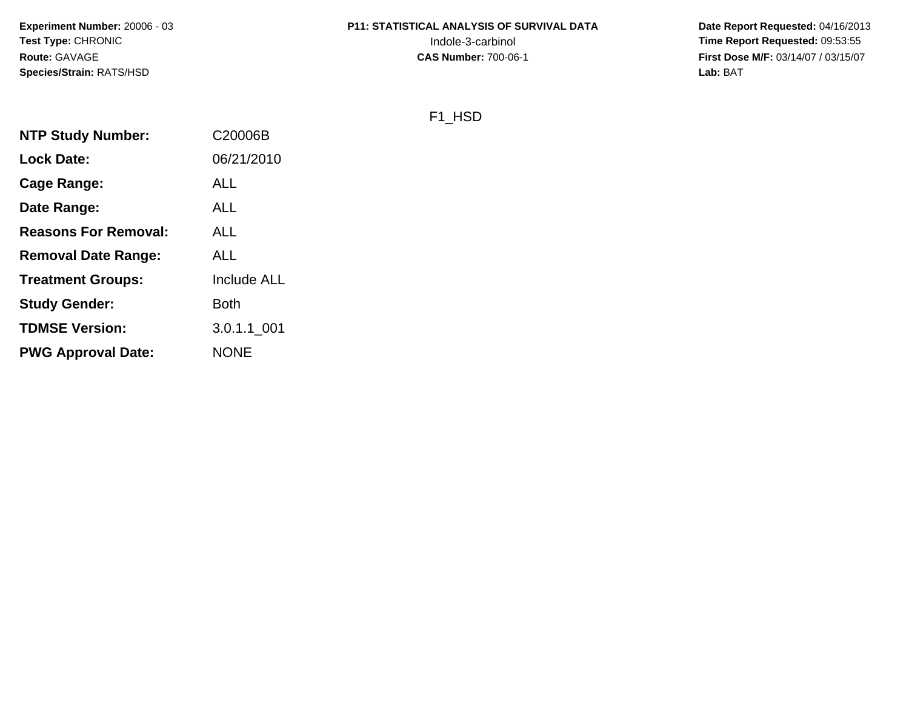**Experiment Number:** 20006 - 03**Test Type:** CHRONIC**Route:** GAVAGE**Species/Strain:** RATS/HSD

# **P11: STATISTICAL ANALYSIS OF SURVIVAL DATA**

 **Date Report Requested:** 04/16/2013 Indole-3-carbinol **Time Report Requested:** 09:53:55 **First Dose M/F:** 03/14/07 / 03/15/07<br>**Lab:** BAT **Lab:** BAT

## F1\_HSD

| <b>NTP Study Number:</b>    | C20006B            |
|-----------------------------|--------------------|
| <b>Lock Date:</b>           | 06/21/2010         |
| Cage Range:                 | ALL                |
| Date Range:                 | ALL                |
| <b>Reasons For Removal:</b> | ALL                |
| <b>Removal Date Range:</b>  | ALL                |
| <b>Treatment Groups:</b>    | <b>Include ALL</b> |
| <b>Study Gender:</b>        | Both               |
| <b>TDMSE Version:</b>       | 3.0.1.1 001        |
| <b>PWG Approval Date:</b>   | <b>NONE</b>        |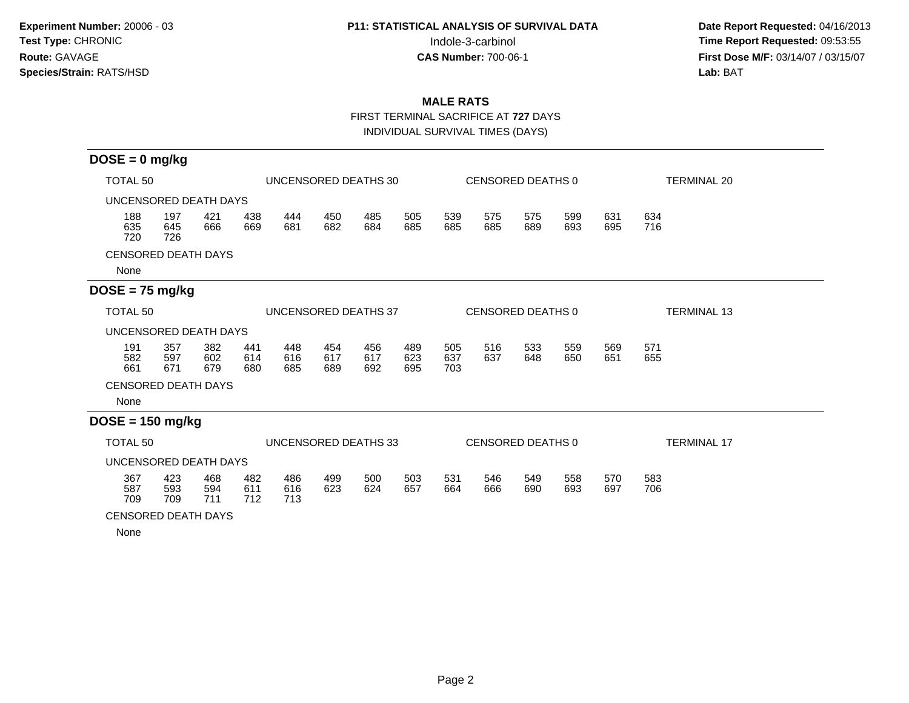**Date Report Requested:** 04/16/2013 Indole-3-carbinol **Time Report Requested:** 09:53:55 **First Dose M/F:** 03/14/07 / 03/15/07<br>Lab: BAT **Lab:** BAT

## **MALE RATS**

FIRST TERMINAL SACRIFICE AT **727** DAYS

INDIVIDUAL SURVIVAL TIMES (DAYS)

| $DOSE = 0$ mg/kg                        |                       |                   |                   |                   |                      |                   |                   |                   |                   |                   |                    |            |                    |
|-----------------------------------------|-----------------------|-------------------|-------------------|-------------------|----------------------|-------------------|-------------------|-------------------|-------------------|-------------------|--------------------|------------|--------------------|
| UNCENSORED DEATHS 30<br>TOTAL 50        |                       |                   |                   |                   |                      |                   |                   |                   | CENSORED DEATHS 0 |                   | <b>TERMINAL 20</b> |            |                    |
| UNCENSORED DEATH DAYS                   |                       |                   |                   |                   |                      |                   |                   |                   |                   |                   |                    |            |                    |
| 188<br>635<br>720                       | 197<br>645<br>726     | 421<br>666        | 438<br>669        | 444<br>681        | 450<br>682           | 485<br>684        | 505<br>685        | 539<br>685        | 575<br>685        | 575<br>689        | 599<br>693         | 631<br>695 | 634<br>716         |
| <b>CENSORED DEATH DAYS</b>              |                       |                   |                   |                   |                      |                   |                   |                   |                   |                   |                    |            |                    |
| None                                    |                       |                   |                   |                   |                      |                   |                   |                   |                   |                   |                    |            |                    |
| $DOSE = 75$ mg/kg                       |                       |                   |                   |                   |                      |                   |                   |                   |                   |                   |                    |            |                    |
| <b>TOTAL 50</b><br>UNCENSORED DEATHS 37 |                       |                   |                   |                   |                      | CENSORED DEATHS 0 |                   |                   |                   |                   | <b>TERMINAL 13</b> |            |                    |
|                                         | UNCENSORED DEATH DAYS |                   |                   |                   |                      |                   |                   |                   |                   |                   |                    |            |                    |
| 191<br>582<br>661                       | 357<br>597<br>671     | 382<br>602<br>679 | 441<br>614<br>680 | 448<br>616<br>685 | 454<br>617<br>689    | 456<br>617<br>692 | 489<br>623<br>695 | 505<br>637<br>703 | 516<br>637        | 533<br>648        | 559<br>650         | 569<br>651 | 571<br>655         |
| <b>CENSORED DEATH DAYS</b>              |                       |                   |                   |                   |                      |                   |                   |                   |                   |                   |                    |            |                    |
| None                                    |                       |                   |                   |                   |                      |                   |                   |                   |                   |                   |                    |            |                    |
| $DOSE = 150$ mg/kg                      |                       |                   |                   |                   |                      |                   |                   |                   |                   |                   |                    |            |                    |
| TOTAL 50                                |                       |                   |                   |                   | UNCENSORED DEATHS 33 |                   |                   |                   |                   | CENSORED DEATHS 0 |                    |            | <b>TERMINAL 17</b> |
| UNCENSORED DEATH DAYS                   |                       |                   |                   |                   |                      |                   |                   |                   |                   |                   |                    |            |                    |
| 367<br>587<br>709                       | 423<br>593<br>709     | 468<br>594<br>711 | 482<br>611<br>712 | 486<br>616<br>713 | 499<br>623           | 500<br>624        | 503<br>657        | 531<br>664        | 546<br>666        | 549<br>690        | 558<br>693         | 570<br>697 | 583<br>706         |
| <b>CENSORED DEATH DAYS</b>              |                       |                   |                   |                   |                      |                   |                   |                   |                   |                   |                    |            |                    |

None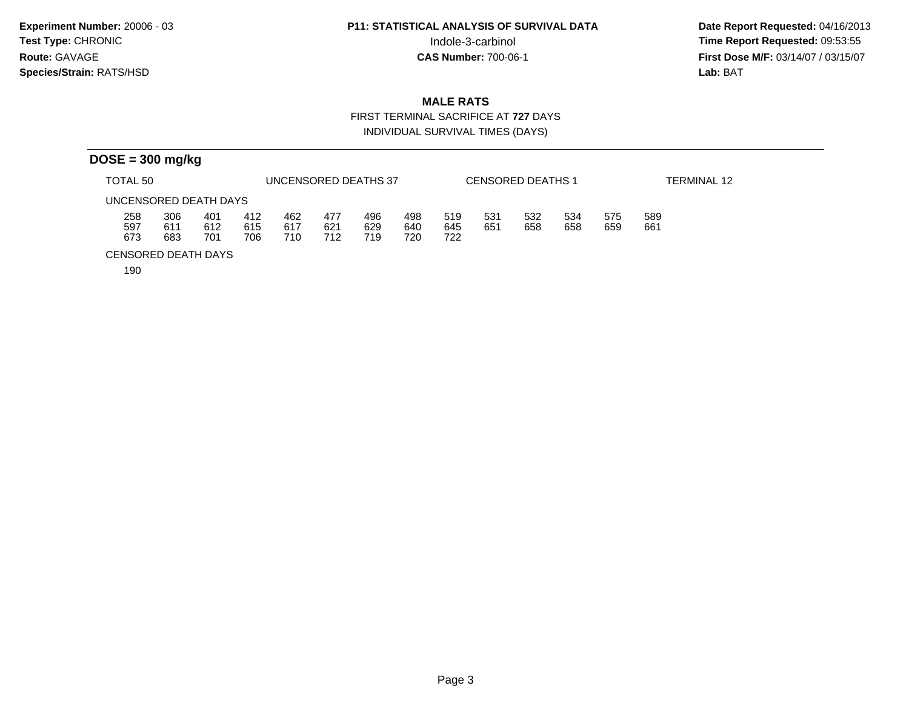**Date Report Requested:** 04/16/2013 Indole-3-carbinol **Time Report Requested:** 09:53:55 **First Dose M/F:** 03/14/07 / 03/15/07<br>Lab: BAT **Lab:** BAT

## **MALE RATS**

 FIRST TERMINAL SACRIFICE AT **727** DAYSINDIVIDUAL SURVIVAL TIMES (DAYS)

|                       | $DOSE = 300$ mg/kg |                   |                   |                   |                   |                      |                   |                   |            |                          |            |            |             |  |  |
|-----------------------|--------------------|-------------------|-------------------|-------------------|-------------------|----------------------|-------------------|-------------------|------------|--------------------------|------------|------------|-------------|--|--|
| TOTAL 50              |                    |                   |                   |                   |                   | UNCENSORED DEATHS 37 |                   |                   |            | <b>CENSORED DEATHS 1</b> |            |            | TERMINAL 12 |  |  |
| UNCENSORED DEATH DAYS |                    |                   |                   |                   |                   |                      |                   |                   |            |                          |            |            |             |  |  |
| 258<br>597<br>673     | 306<br>611<br>683  | 401<br>612<br>701 | 412<br>615<br>706 | 462<br>617<br>710 | 477<br>621<br>712 | 496<br>629<br>719    | 498<br>640<br>720 | 519<br>645<br>722 | 531<br>651 | 532<br>658               | 534<br>658 | 575<br>659 | 589<br>661  |  |  |

CENSORED DEATH DAYS

190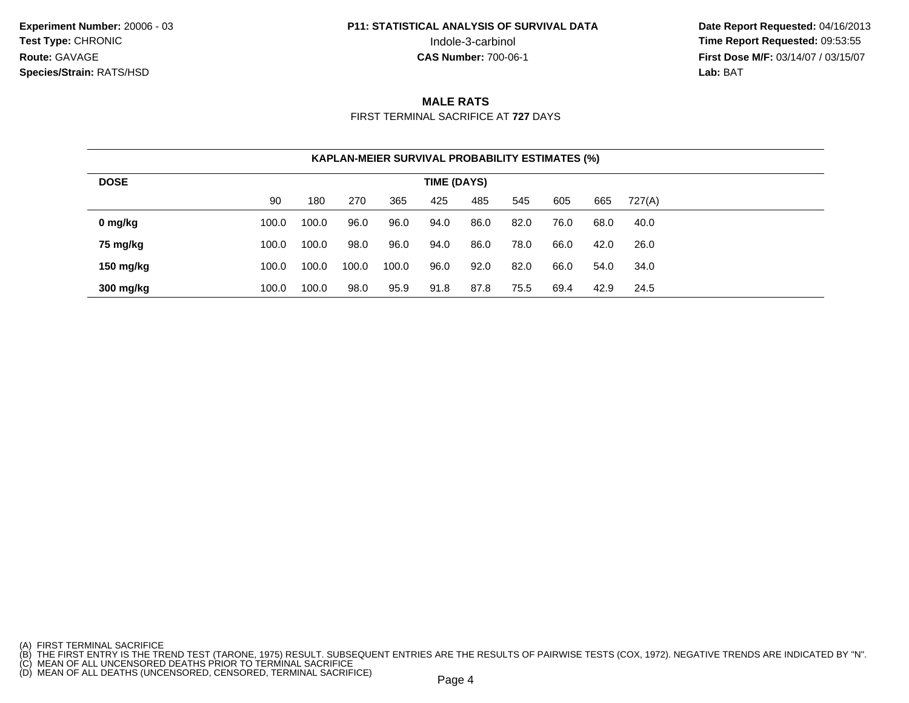**Date Report Requested:** 04/16/2013 Indole-3-carbinol **Time Report Requested:** 09:53:55 **First Dose M/F:** 03/14/07 / 03/15/07<br>**Lab: BAT Lab:** BAT

### **MALE RATS**

FIRST TERMINAL SACRIFICE AT **727** DAYS

|             | <b>KAPLAN-MEIER SURVIVAL PROBABILITY ESTIMATES (%)</b> |       |       |       |      |      |      |      |      |        |  |  |  |  |
|-------------|--------------------------------------------------------|-------|-------|-------|------|------|------|------|------|--------|--|--|--|--|
| <b>DOSE</b> | TIME (DAYS)                                            |       |       |       |      |      |      |      |      |        |  |  |  |  |
|             | 90                                                     | 180   | 270   | 365   | 425  | 485  | 545  | 605  | 665  | 727(A) |  |  |  |  |
| 0 mg/kg     | 100.0                                                  | 100.0 | 96.0  | 96.0  | 94.0 | 86.0 | 82.0 | 76.0 | 68.0 | 40.0   |  |  |  |  |
| 75 mg/kg    | 100.0                                                  | 100.0 | 98.0  | 96.0  | 94.0 | 86.0 | 78.0 | 66.0 | 42.0 | 26.0   |  |  |  |  |
| 150 mg/kg   | 100.0                                                  | 100.0 | 100.0 | 100.0 | 96.0 | 92.0 | 82.0 | 66.0 | 54.0 | 34.0   |  |  |  |  |
| 300 mg/kg   | 100.0                                                  | 100.0 | 98.0  | 95.9  | 91.8 | 87.8 | 75.5 | 69.4 | 42.9 | 24.5   |  |  |  |  |

<sup>(</sup>A) FIRST TERMINAL SACRIFICE<br>(B) THE FIRST ENTRY IS THE TREND TEST (TARONE, 1975) RESULT. SUBSEQUENT ENTRIES ARE THE RESULTS OF PAIRWISE TESTS (COX, 1972). NEGATIVE TRENDS ARE INDICATED BY "N".<br>(C) MEAN OF ALL UNCENSORED D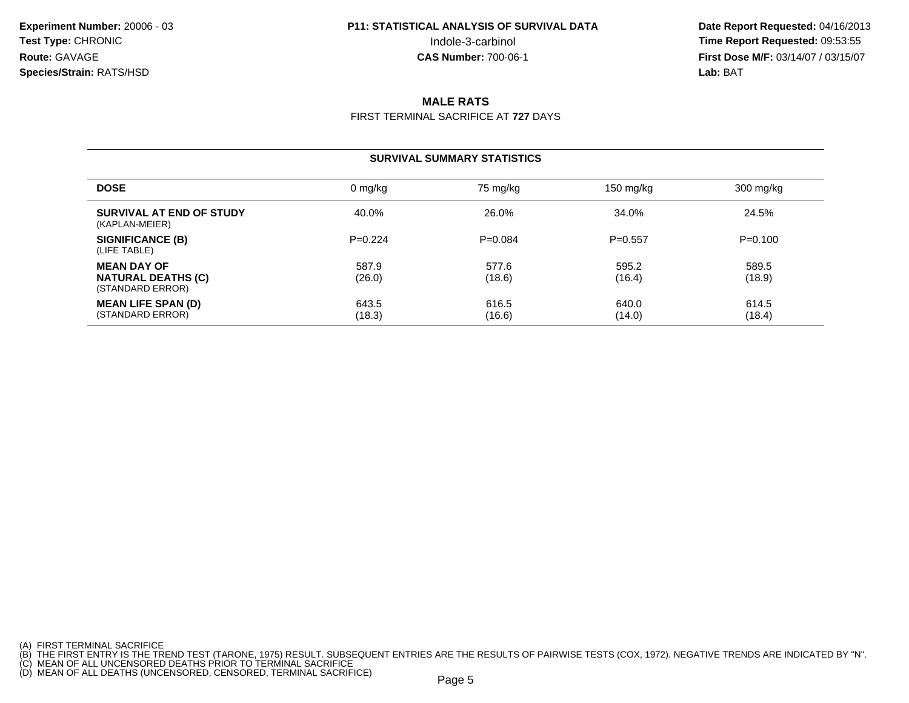**Date Report Requested:** 04/16/2013 Indole-3-carbinol **Time Report Requested:** 09:53:55 **First Dose M/F:** 03/14/07 / 03/15/07<br>**Lab: BAT Lab:** BAT

### **MALE RATS**

FIRST TERMINAL SACRIFICE AT **727** DAYS

#### **SURVIVAL SUMMARY STATISTICS**

| <b>DOSE</b>                                                         | 0 mg/kg         | 75 mg/kg        | 150 mg/kg       | $300 \; mg/kg$  |
|---------------------------------------------------------------------|-----------------|-----------------|-----------------|-----------------|
| SURVIVAL AT END OF STUDY<br>(KAPLAN-MEIER)                          | 40.0%           | 26.0%           | 34.0%           | 24.5%           |
| SIGNIFICANCE (B)<br>(LIFE TABLE)                                    | $P=0.224$       | $P=0.084$       | $P = 0.557$     | $P=0.100$       |
| <b>MEAN DAY OF</b><br><b>NATURAL DEATHS (C)</b><br>(STANDARD ERROR) | 587.9<br>(26.0) | 577.6<br>(18.6) | 595.2<br>(16.4) | 589.5<br>(18.9) |
| <b>MEAN LIFE SPAN (D)</b><br>(STANDARD ERROR)                       | 643.5<br>(18.3) | 616.5<br>(16.6) | 640.0<br>(14.0) | 614.5<br>(18.4) |

<sup>(</sup>A) FIRST TERMINAL SACRIFICE<br>(B) THE FIRST ENTRY IS THE TREND TEST (TARONE, 1975) RESULT. SUBSEQUENT ENTRIES ARE THE RESULTS OF PAIRWISE TESTS (COX, 1972). NEGATIVE TRENDS ARE INDICATED BY "N".<br>(C) MEAN OF ALL UNCENSORED D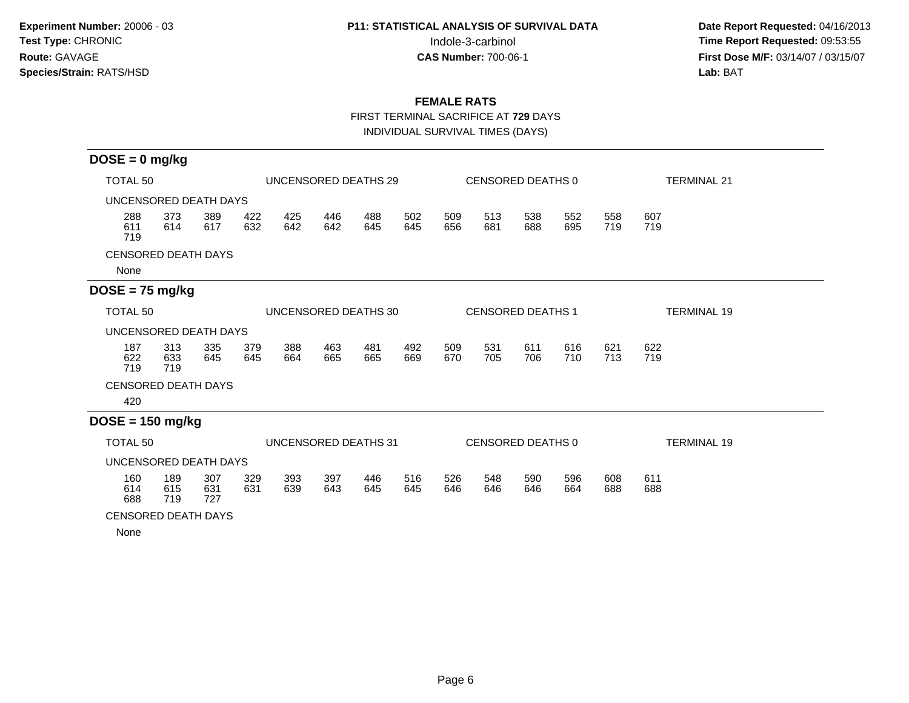**Date Report Requested:** 04/16/2013 Indole-3-carbinol **Time Report Requested:** 09:53:55 **First Dose M/F:** 03/14/07 / 03/15/07<br>Lab: BAT **Lab:** BAT

### **FEMALE RATS**

FIRST TERMINAL SACRIFICE AT **729** DAYS

INDIVIDUAL SURVIVAL TIMES (DAYS)

| $DOSE = 0$ mg/kg                            |                   |                   |            |            |                      |                          |            |                   |            |                   |                    |            |                    |
|---------------------------------------------|-------------------|-------------------|------------|------------|----------------------|--------------------------|------------|-------------------|------------|-------------------|--------------------|------------|--------------------|
| TOTAL 50                                    |                   |                   |            |            | UNCENSORED DEATHS 29 |                          |            | CENSORED DEATHS 0 |            |                   |                    |            | <b>TERMINAL 21</b> |
| UNCENSORED DEATH DAYS                       |                   |                   |            |            |                      |                          |            |                   |            |                   |                    |            |                    |
| 288<br>611<br>719                           | 373<br>614        | 389<br>617        | 422<br>632 | 425<br>642 | 446<br>642           | 488<br>645               | 502<br>645 | 509<br>656        | 513<br>681 | 538<br>688        | 552<br>695         | 558<br>719 | 607<br>719         |
| <b>CENSORED DEATH DAYS</b>                  |                   |                   |            |            |                      |                          |            |                   |            |                   |                    |            |                    |
| None                                        |                   |                   |            |            |                      |                          |            |                   |            |                   |                    |            |                    |
| $DOSE = 75$ mg/kg                           |                   |                   |            |            |                      |                          |            |                   |            |                   |                    |            |                    |
| TOTAL <sub>50</sub><br>UNCENSORED DEATHS 30 |                   |                   |            |            |                      | <b>CENSORED DEATHS 1</b> |            |                   |            |                   | <b>TERMINAL 19</b> |            |                    |
| UNCENSORED DEATH DAYS                       |                   |                   |            |            |                      |                          |            |                   |            |                   |                    |            |                    |
| 187<br>622<br>719                           | 313<br>633<br>719 | 335<br>645        | 379<br>645 | 388<br>664 | 463<br>665           | 481<br>665               | 492<br>669 | 509<br>670        | 531<br>705 | 611<br>706        | 616<br>710         | 621<br>713 | 622<br>719         |
| <b>CENSORED DEATH DAYS</b>                  |                   |                   |            |            |                      |                          |            |                   |            |                   |                    |            |                    |
| 420                                         |                   |                   |            |            |                      |                          |            |                   |            |                   |                    |            |                    |
| $DOSE = 150$ mg/kg                          |                   |                   |            |            |                      |                          |            |                   |            |                   |                    |            |                    |
| TOTAL <sub>50</sub>                         |                   |                   |            |            | UNCENSORED DEATHS 31 |                          |            |                   |            | CENSORED DEATHS 0 |                    |            | <b>TERMINAL 19</b> |
| UNCENSORED DEATH DAYS                       |                   |                   |            |            |                      |                          |            |                   |            |                   |                    |            |                    |
| 160<br>614<br>688                           | 189<br>615<br>719 | 307<br>631<br>727 | 329<br>631 | 393<br>639 | 397<br>643           | 446<br>645               | 516<br>645 | 526<br>646        | 548<br>646 | 590<br>646        | 596<br>664         | 608<br>688 | 611<br>688         |
| <b>CENSORED DEATH DAYS</b>                  |                   |                   |            |            |                      |                          |            |                   |            |                   |                    |            |                    |

None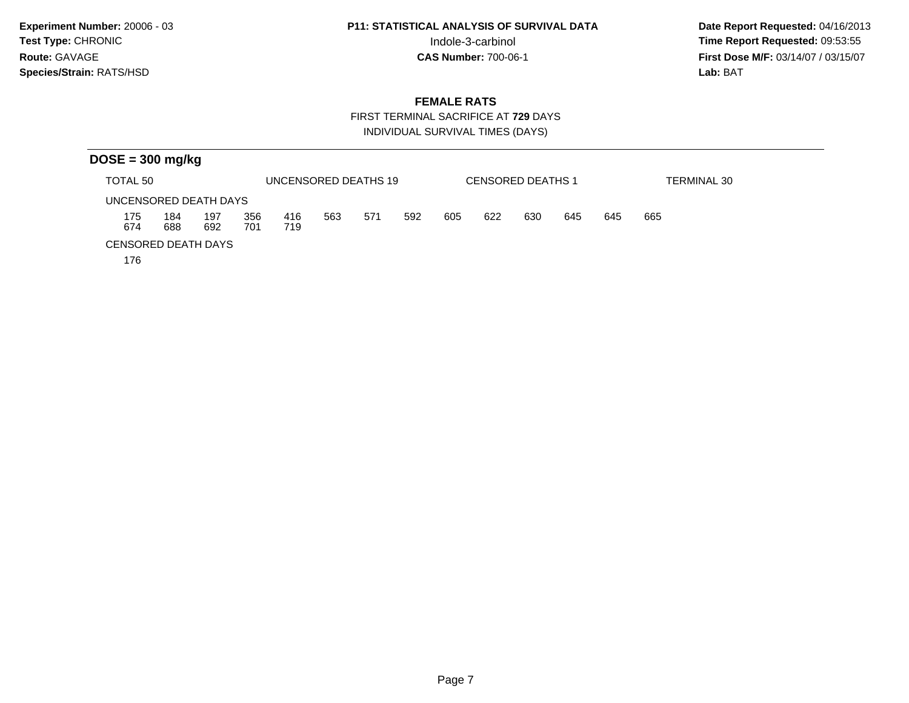**Date Report Requested:** 04/16/2013 Indole-3-carbinol **Time Report Requested:** 09:53:55 **First Dose M/F:** 03/14/07 / 03/15/07<br>Lab: BAT **Lab:** BAT

### **FEMALE RATS**

 FIRST TERMINAL SACRIFICE AT **729** DAYSINDIVIDUAL SURVIVAL TIMES (DAYS)

|                            | $DOSE = 300$ mg/kg |            |            |                      |     |     |     |     |     |                          |     |     |                    |  |
|----------------------------|--------------------|------------|------------|----------------------|-----|-----|-----|-----|-----|--------------------------|-----|-----|--------------------|--|
| TOTAL 50                   |                    |            |            | UNCENSORED DEATHS 19 |     |     |     |     |     | <b>CENSORED DEATHS 1</b> |     |     | <b>TERMINAL 30</b> |  |
| UNCENSORED DEATH DAYS      |                    |            |            |                      |     |     |     |     |     |                          |     |     |                    |  |
| 175<br>674                 | 184<br>688         | 197<br>692 | 356<br>701 | 416<br>719           | 563 | 571 | 592 | 605 | 622 | 630                      | 645 | 645 | 665                |  |
| <b>CENSORED DEATH DAYS</b> |                    |            |            |                      |     |     |     |     |     |                          |     |     |                    |  |

176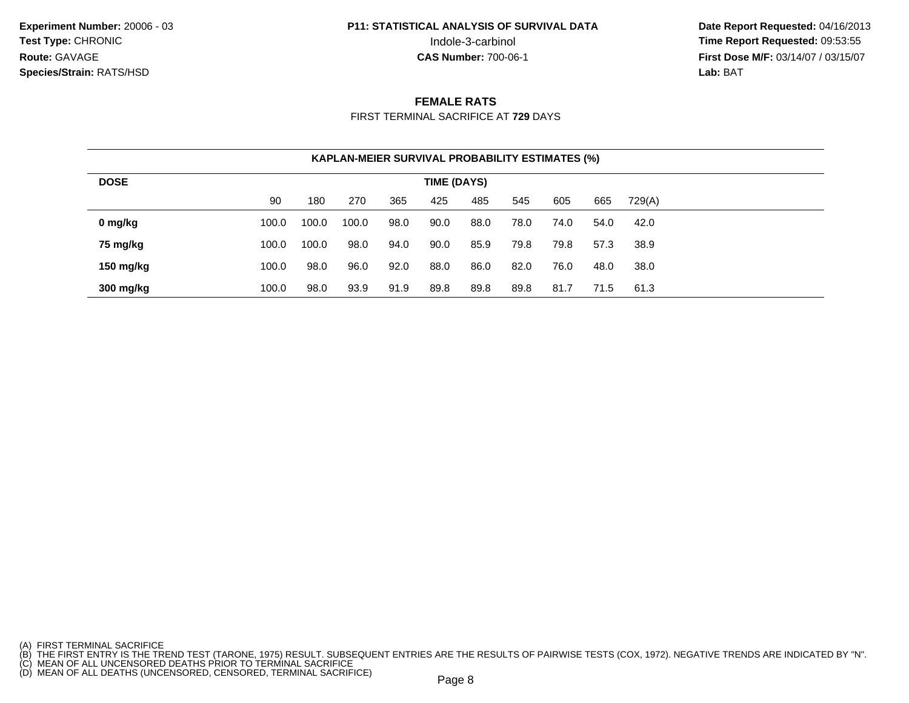**Date Report Requested:** 04/16/2013 Indole-3-carbinol **Time Report Requested:** 09:53:55 **First Dose M/F:** 03/14/07 / 03/15/07<br>**Lab: BAT Lab:** BAT

#### **FEMALE RATS**

FIRST TERMINAL SACRIFICE AT **729** DAYS

|             | <b>KAPLAN-MEIER SURVIVAL PROBABILITY ESTIMATES (%)</b> |       |       |      |      |      |      |      |      |        |  |  |  |
|-------------|--------------------------------------------------------|-------|-------|------|------|------|------|------|------|--------|--|--|--|
| <b>DOSE</b> | TIME (DAYS)                                            |       |       |      |      |      |      |      |      |        |  |  |  |
|             | 90                                                     | 180   | 270   | 365  | 425  | 485  | 545  | 605  | 665  | 729(A) |  |  |  |
| 0 mg/kg     | 100.0                                                  | 100.0 | 100.0 | 98.0 | 90.0 | 88.0 | 78.0 | 74.0 | 54.0 | 42.0   |  |  |  |
| 75 mg/kg    | 100.0                                                  | 100.0 | 98.0  | 94.0 | 90.0 | 85.9 | 79.8 | 79.8 | 57.3 | 38.9   |  |  |  |
| 150 mg/kg   | 100.0                                                  | 98.0  | 96.0  | 92.0 | 88.0 | 86.0 | 82.0 | 76.0 | 48.0 | 38.0   |  |  |  |
| 300 mg/kg   | 100.0                                                  | 98.0  | 93.9  | 91.9 | 89.8 | 89.8 | 89.8 | 81.7 | 71.5 | 61.3   |  |  |  |

<sup>(</sup>A) FIRST TERMINAL SACRIFICE<br>(B) THE FIRST ENTRY IS THE TREND TEST (TARONE, 1975) RESULT. SUBSEQUENT ENTRIES ARE THE RESULTS OF PAIRWISE TESTS (COX, 1972). NEGATIVE TRENDS ARE INDICATED BY "N".<br>(C) MEAN OF ALL UNCENSORED D